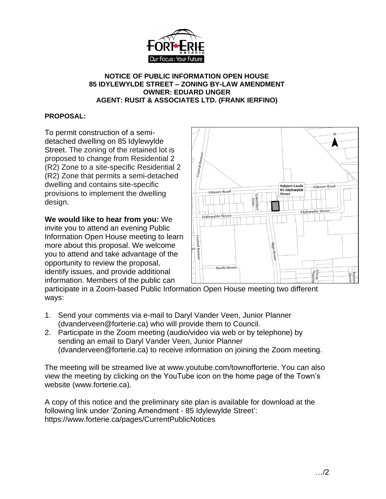

## **NOTICE OF PUBLIC INFORMATION OPEN HOUSE 85 IDYLEWYLDE STREET – ZONING BY-LAW AMENDMENT OWNER: EDUARD UNGER AGENT: RUSIT & ASSOCIATES LTD. (FRANK IERFINO)**

## **PROPOSAL:**

To permit construction of a semidetached dwelling on 85 Idylewylde Street. The zoning of the retained lot is proposed to change from Residential 2 (R2) Zone to a site-specific Residential 2 (R2) Zone that permits a semi-detached dwelling and contains site-specific provisions to implement the dwelling design.

**We would like to hear from you:** We invite you to attend an evening Public Information Open House meeting to learn more about this proposal. We welcome you to attend and take advantage of the opportunity to review the proposal, identify issues, and provide additional information. Members of the public can



participate in a Zoom-based Public Information Open House meeting two different ways:

- 1. Send your comments via e-mail to Daryl Vander Veen, Junior Planner (dvanderveen@forterie.ca) who will provide them to Council.
- 2. Participate in the Zoom meeting (audio/video via web or by telephone) by sending an email to Daryl Vander Veen, Junior Planner (dvanderveen@forterie.ca) to receive information on joining the Zoom meeting.

The meeting will be streamed live at www.youtube.com/townofforterie. You can also view the meeting by clicking on the YouTube icon on the home page of the Town's website (www.forterie.ca).

A copy of this notice and the preliminary site plan is available for download at the following link under 'Zoning Amendment - 85 Idylewylde Street': https://www.forterie.ca/pages/CurrentPublicNotices